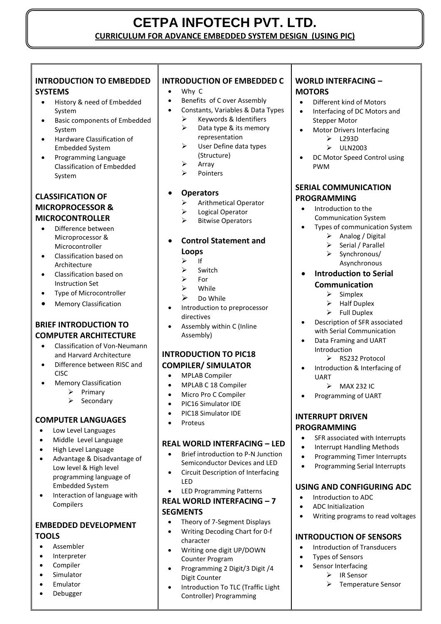# **CETPA INFOTECH PVT. LTD. CURRICULUM FOR ADVANCE EMBEDDED SYSTEM DESIGN (USING PIC)**

#### **INTRODUCTION TO EMBEDDED SYSTEMS**

- History & need of Embedded System
- Basic components of Embedded System
- Hardware Classification of Embedded System
- Programming Language Classification of Embedded System

## **CLASSIFICATION OF MICROPROCESSOR & MICROCONTROLLER**

- Difference between Microprocessor & Microcontroller
- Classification based on Architecture
- Classification based on Instruction Set
- Type of Microcontroller
- Memory Classification

## **BRIEF INTRODUCTION TO COMPUTER ARCHITECTURE**

- Classification of Von-Neumann and Harvard Architecture
- Difference between RISC and CISC
- Memory Classification
	- $\triangleright$  Primary
	- $\triangleright$  Secondary

# **COMPUTER LANGUAGES**

- Low Level Languages
- Middle Level Language
- High Level Language
- Advantage & Disadvantage of Low level & High level programming language of Embedded System
- Interaction of language with Compilers

## **EMBEDDED DEVELOPMENT TOOLS**

- Assembler
- Interpreter
- Compiler
- Simulator
- Emulator
- Debugger

# **INTRODUCTION OF EMBEDDED C**

- Why C
- Benefits of C over Assembly
- Constants, Variables & Data Types
	- $\triangleright$  Keywords & Identifiers  $\triangleright$  Data type & its memory representation
	- $\triangleright$  User Define data types (Structure)
	- $\triangleright$  Array
	- $\triangleright$  Pointers
- **Operators**
	- Arithmetical Operator
	- **EXECUTE:** Logical Operator
	- $\triangleright$  Bitwise Operators

## **Control Statement and Loops**

- $\triangleright$  If
- Switch
- For
- While
- $\triangleright$  Do While
- Introduction to preprocessor directives
- Assembly within C (Inline Assembly)

## **INTRODUCTION TO PIC18 COMPILER/ SIMULATOR**

- MPLAB Compiler
- MPLAB C 18 Compiler
- Micro Pro C Compiler
- PIC16 Simulator IDE
- PIC18 Simulator IDE
- Proteus

### **REAL WORLD INTERFACING – LED**

- Brief introduction to P-N Junction Semiconductor Devices and LED
- Circuit Description of Interfacing LED
- LED Programming Patterns

## **REAL WORLD INTERFACING – 7 SEGMENTS**

- Theory of 7-Segment Displays
- Writing Decoding Chart for 0-f character
- Writing one digit UP/DOWN Counter Program
- Programming 2 Digit/3 Digit /4 Digit Counter
- Introduction To TLC (Traffic Light Controller) Programming

## **WORLD INTERFACING -MOTORS**

- Different kind of Motors
- Interfacing of DC Motors and Stepper Motor
- Motor Drivers Interfacing  $\triangleright$  L293D
	- $\triangleright$  ULN2003
- DC Motor Speed Control using PWM

#### **SERIAL COMMUNICATION PROGRAMMING**

- Introduction to the Communication System
- Types of communication System
	- $\triangleright$  Analog / Digital
	- Serial / Parallel
	- $\triangleright$  Synchronous/
		- Asynchronous

#### **Introduction to Serial Communication**

- $\triangleright$  Simplex
- Half Duplex
- $\triangleright$  Full Duplex
- Description of SFR associated with Serial Communication
- Data Framing and UART Introduction
	- ▶ RS232 Protocol
- Introduction & Interfacing of UART
	- $\triangleright$  MAX 232 IC
- Programming of UART

#### **INTERRUPT DRIVEN PROGRAMMING**

- SFR associated with Interrupts
- Interrupt Handling Methods
- Programming Timer Interrupts
- Programming Serial Interrupts

### **USING AND CONFIGURING ADC**

- $\bullet$  Introduction to ADC
- ADC Initialization

 Types of Sensors **Sensor Interfacing** 

Writing programs to read voltages

**INTRODUCTION OF SENSORS** • Introduction of Transducers

**▶** IR Sensor

Temperature Sensor